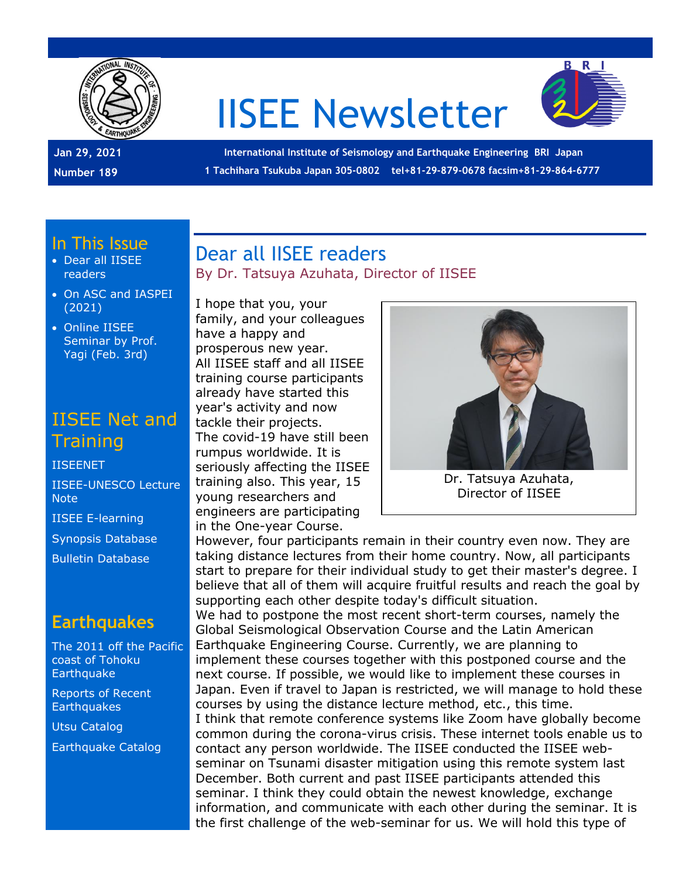

# IISEE Newsletter



**Jan 29, 2021 Number 189**

**International Institute of Seismology and Earthquake Engineering BRI Japan 1 Tachihara Tsukuba Japan 305-0802 tel+81-29-879-0678 facsim+81-29-864-6777**

#### In This Issue

- Dear all IISEE readers
- On ASC and IASPEI (2021)
- Online IISEE Seminar by Prof. Yagi (Feb. 3rd)

## IISEE Net and **Training**

**[IISEENET](http://iisee.kenken.go.jp/net/)** [IISEE-UNESCO Lecture](http://iisee/lna/)  [Note](http://iisee/lna/) [IISEE E-learning](http://iisee/el/) [Synopsis Database](http://iisee/syndb/) [Bulletin Database](http://iisee/bltndb/)

### **Earthquakes**

[The 2011 off the Pacific](http://iisee/special2/20110311tohoku.htm)  [coast of Tohoku](http://iisee/special2/20110311tohoku.htm)  **[Earthquake](http://iisee/special2/20110311tohoku.htm)** 

[Reports of Recent](http://iisee/quakes.htm)  **[Earthquakes](http://iisee/quakes.htm)** 

[Utsu Catalog](http://iisee/utsu/index_eng.html)

[Earthquake Catalog](http://iisee/eqcat/Top_page_en.htm)

#### Dear all IISEE readers By Dr. Tatsuya Azuhata, Director of IISEE

I hope that you, your family, and your colleagues have a happy and prosperous new year. All IISEE staff and all IISEE training course participants already have started this year's activity and now tackle their projects. The covid-19 have still been rumpus worldwide. It is seriously affecting the IISEE training also. This year, 15 young researchers and engineers are participating in the One-year Course.



Director of IISEE

However, four participants remain in their country even now. They are taking distance lectures from their home country. Now, all participants start to prepare for their individual study to get their master's degree. I believe that all of them will acquire fruitful results and reach the goal by supporting each other despite today's difficult situation.

We had to postpone the most recent short-term courses, namely the Global Seismological Observation Course and the Latin American Earthquake Engineering Course. Currently, we are planning to implement these courses together with this postponed course and the next course. If possible, we would like to implement these courses in Japan. Even if travel to Japan is restricted, we will manage to hold these courses by using the distance lecture method, etc., this time. I think that remote conference systems like Zoom have globally become common during the corona-virus crisis. These internet tools enable us to contact any person worldwide. The IISEE conducted the IISEE webseminar on Tsunami disaster mitigation using this remote system last December. Both current and past IISEE participants attended this seminar. I think they could obtain the newest knowledge, exchange information, and communicate with each other during the seminar. It is the first challenge of the web-seminar for us. We will hold this type of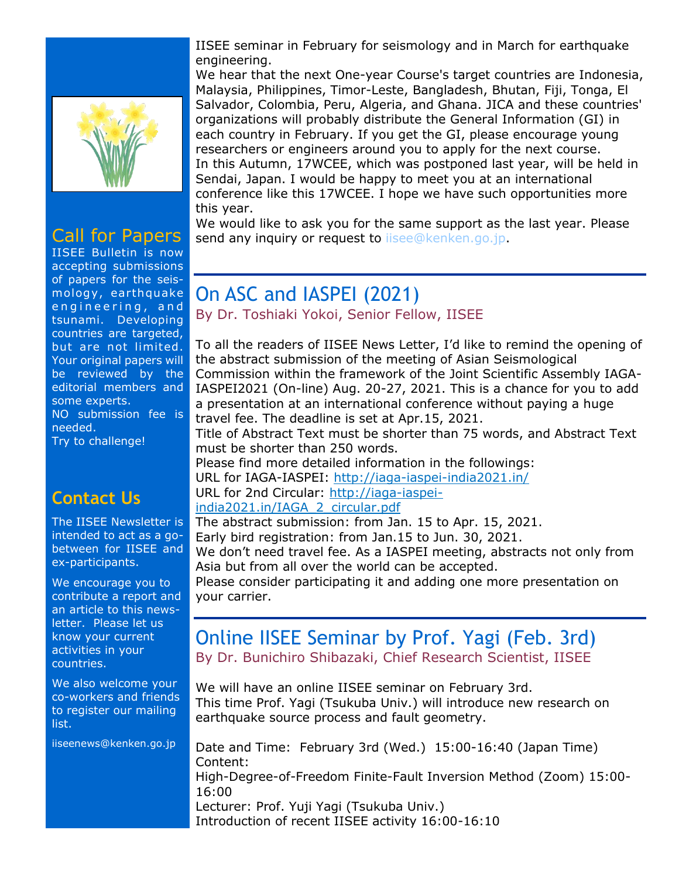

### Call for Papers

IISEE Bulletin is now accepting submissions of papers for the seismology, earthquake engineering, and tsunami. Developing countries are targeted, but are not limited. Your original papers will be reviewed by the editorial members and some experts. NO submission fee is needed. Try to challenge!

#### **Contact Us**

The IISEE Newsletter is intended to act as a gobetween for IISEE and ex-participants.

We encourage you to contribute a report and an article to this newsletter. Please let us know your current activities in your countries.

We also welcome your co-workers and friends to register our mailing list.

iiseenews@kenken.go.jp

IISEE seminar in February for seismology and in March for earthquake engineering.

We hear that the next One-year Course's target countries are Indonesia, Malaysia, Philippines, Timor-Leste, Bangladesh, Bhutan, Fiji, Tonga, El Salvador, Colombia, Peru, Algeria, and Ghana. JICA and these countries' organizations will probably distribute the General Information (GI) in each country in February. If you get the GI, please encourage young researchers or engineers around you to apply for the next course. In this Autumn, 17WCEE, which was postponed last year, will be held in Sendai, Japan. I would be happy to meet you at an international conference like this 17WCEE. I hope we have such opportunities more this year.

We would like to ask you for the same support as the last year. Please send any inquiry or request to lisee@kenken.go.jp.

## On ASC and IASPEI (2021)

By Dr. Toshiaki Yokoi, Senior Fellow, IISEE

To all the readers of IISEE News Letter, I'd like to remind the opening of the abstract submission of the meeting of Asian Seismological Commission within the framework of the Joint Scientific Assembly IAGA-IASPEI2021 (On-line) Aug. 20-27, 2021. This is a chance for you to add a presentation at an international conference without paying a huge travel fee. The deadline is set at Apr.15, 2021.

Title of Abstract Text must be shorter than 75 words, and Abstract Text must be shorter than 250 words.

Please find more detailed information in the followings: URL for IAGA-IASPEI:<http://iaga-iaspei-india2021.in/>

URL for 2nd Circular: [http://iaga-iaspei-](http://iaga-iaspei-india2021.in/IAGA_2_circular.pdf)

[india2021.in/IAGA\\_2\\_circular.pdf](http://iaga-iaspei-india2021.in/IAGA_2_circular.pdf)

The abstract submission: from Jan. 15 to Apr. 15, 2021.

Early bird registration: from Jan.15 to Jun. 30, 2021.

We don't need travel fee. As a IASPEI meeting, abstracts not only from Asia but from all over the world can be accepted.

Please consider participating it and adding one more presentation on your carrier.

#### Online IISEE Seminar by Prof. Yagi (Feb. 3rd) By Dr. Bunichiro Shibazaki, Chief Research Scientist, IISEE

We will have an online IISEE seminar on February 3rd. This time Prof. Yagi (Tsukuba Univ.) will introduce new research on earthquake source process and fault geometry.

Date and Time: February 3rd (Wed.) 15:00-16:40 (Japan Time) Content: High-Degree-of-Freedom Finite-Fault Inversion Method (Zoom) 15:00- 16:00 Lecturer: Prof. Yuji Yagi (Tsukuba Univ.) Introduction of recent IISEE activity 16:00-16:10